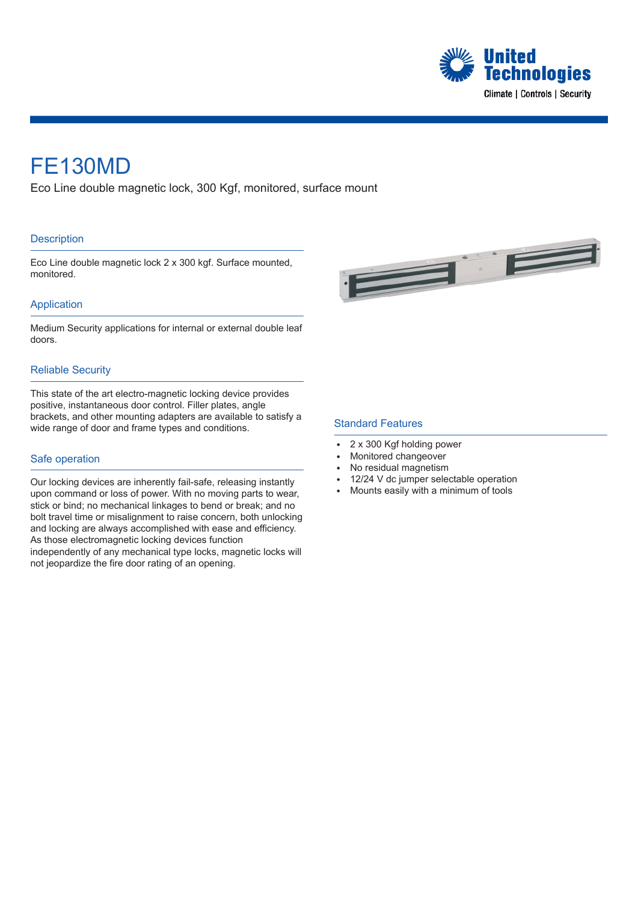

## FE130MD

Eco Line double magnetic lock, 300 Kgf, monitored, surface mount

#### **Description**

Eco Line double magnetic lock 2 x 300 kgf. Surface mounted, monitored.



### Application

Medium Security applications for internal or external double leaf doors.

#### Reliable Security

This state of the art electro-magnetic locking device provides positive, instantaneous door control. Filler plates, angle brackets, and other mounting adapters are available to satisfy a wide range of door and frame types and conditions.

#### Safe operation

Our locking devices are inherently fail-safe, releasing instantly upon command or loss of power. With no moving parts to wear, stick or bind; no mechanical linkages to bend or break; and no bolt travel time or misalignment to raise concern, both unlocking and locking are always accomplished with ease and efficiency. As those electromagnetic locking devices function independently of any mechanical type locks, magnetic locks will

not jeopardize the fire door rating of an opening.

Standard Features

- 2 x 300 Kgf holding power
- Monitored changeover
- No residual magnetism
- 12/24 V dc jumper selectable operation
- Mounts easily with a minimum of tools